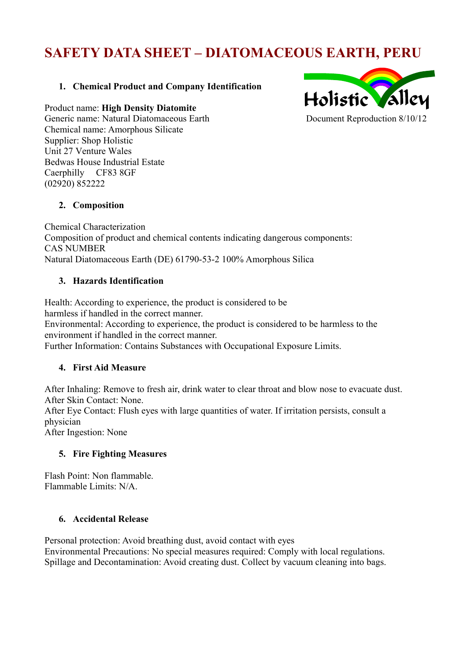# **SAFETY DATA SHEET – DIATOMACEOUS EARTH, PERU**

# **1. Chemical Product and Company Identification**

Product name: **High Density Diatomite**

Generic name: Natural Diatomaceous Earth Chemical name: Amorphous Silicate Supplier: Shop Holistic Unit 27 Venture Wales Bedwas House Industrial Estate Caerphilly CF83 8GF (02920) 852222



#### **2. Composition**

Chemical Characterization Composition of product and chemical contents indicating dangerous components: CAS NUMBER Natural Diatomaceous Earth (DE) 61790-53-2 100% Amorphous Silica

#### **3. Hazards Identification**

Health: According to experience, the product is considered to be harmless if handled in the correct manner. Environmental: According to experience, the product is considered to be harmless to the environment if handled in the correct manner. Further Information: Contains Substances with Occupational Exposure Limits.

## **4. First Aid Measure**

After Inhaling: Remove to fresh air, drink water to clear throat and blow nose to evacuate dust. After Skin Contact: None.

After Eye Contact: Flush eyes with large quantities of water. If irritation persists, consult a physician

After Ingestion: None

## **5. Fire Fighting Measures**

Flash Point: Non flammable. Flammable Limits: N/A.

#### **6. Accidental Release**

Personal protection: Avoid breathing dust, avoid contact with eyes Environmental Precautions: No special measures required: Comply with local regulations. Spillage and Decontamination: Avoid creating dust. Collect by vacuum cleaning into bags.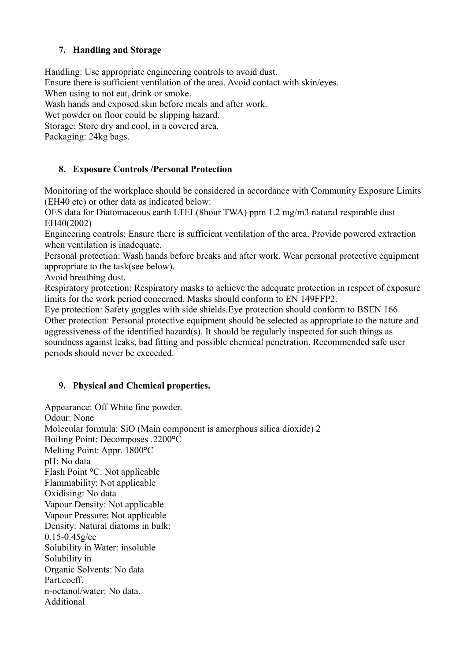## **7. Handling and Storage**

Handling: Use appropriate engineering controls to avoid dust.

Ensure there is sufficient ventilation of the area. Avoid contact with skin/eyes.

When using to not eat, drink or smoke.

Wash hands and exposed skin before meals and after work.

Wet powder on floor could be slipping hazard.

Storage: Store dry and cool, in a covered area.

Packaging: 24kg bags.

## **8. Exposure Controls /Personal Protection**

Monitoring of the workplace should be considered in accordance with Community Exposure Limits (EH40 etc) or other data as indicated below:

OES data for Diatomaceous earth LTEL(8hour TWA) ppm 1.2 mg/m3 natural respirable dust EH40(2002)

Engineering controls: Ensure there is sufficient ventilation of the area. Provide powered extraction when ventilation is inadequate.

Personal protection: Wash hands before breaks and after work. Wear personal protective equipment appropriate to the task(see below).

Avoid breathing dust.

Respiratory protection: Respiratory masks to achieve the adequate protection in respect of exposure limits for the work period concerned. Masks should conform to EN 149FFP2.

Eye protection: Safety goggles with side shields.Eye protection should conform to BSEN 166. Other protection: Personal protective equipment should be selected as appropriate to the nature and aggressiveness of the identified hazard(s). It should be regularly inspected for such things as soundness against leaks, bad fitting and possible chemical penetration. Recommended safe user periods should never be exceeded.

## **9. Physical and Chemical properties.**

Appearance: Off White fine powder. Odour: None Molecular formula: SiO (Main component is amorphous silica dioxide) 2 Boiling Point: Decomposes .2200**°**C Melting Point: Appr. 1800**°**C pH: No data Flash Point **°**C: Not applicable Flammability: Not applicable Oxidising: No data Vapour Density: Not applicable Vapour Pressure: Not applicable Density: Natural diatoms in bulk: 0.15-0.45g/cc Solubility in Water: insoluble Solubility in Organic Solvents: No data Part.coeff. n-octanol/water: No data. **Additional**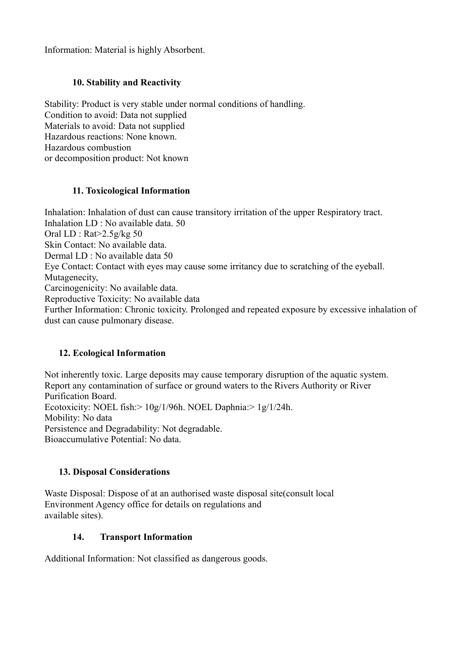Information: Material is highly Absorbent.

#### **10. Stability and Reactivity**

Stability: Product is very stable under normal conditions of handling. Condition to avoid: Data not supplied Materials to avoid: Data not supplied Hazardous reactions: None known. Hazardous combustion or decomposition product: Not known

#### **11. Toxicological Information**

Inhalation: Inhalation of dust can cause transitory irritation of the upper Respiratory tract. Inhalation LD : No available data. 50 Oral LD : Rat>2.5g/kg 50 Skin Contact: No available data. Dermal LD : No available data 50 Eye Contact: Contact with eyes may cause some irritancy due to scratching of the eyeball. Mutagenecity, Carcinogenicity: No available data. Reproductive Toxicity: No available data Further Information: Chronic toxicity. Prolonged and repeated exposure by excessive inhalation of dust can cause pulmonary disease.

## **12. Ecological Information**

Not inherently toxic. Large deposits may cause temporary disruption of the aquatic system. Report any contamination of surface or ground waters to the Rivers Authority or River Purification Board. Ecotoxicity: NOEL fish:> 10g/1/96h. NOEL Daphnia:> 1g/1/24h. Mobility: No data Persistence and Degradability: Not degradable. Bioaccumulative Potential: No data.

# **13. Disposal Considerations**

Waste Disposal: Dispose of at an authorised waste disposal site(consult local Environment Agency office for details on regulations and available sites).

#### **14. Transport Information**

Additional Information: Not classified as dangerous goods.